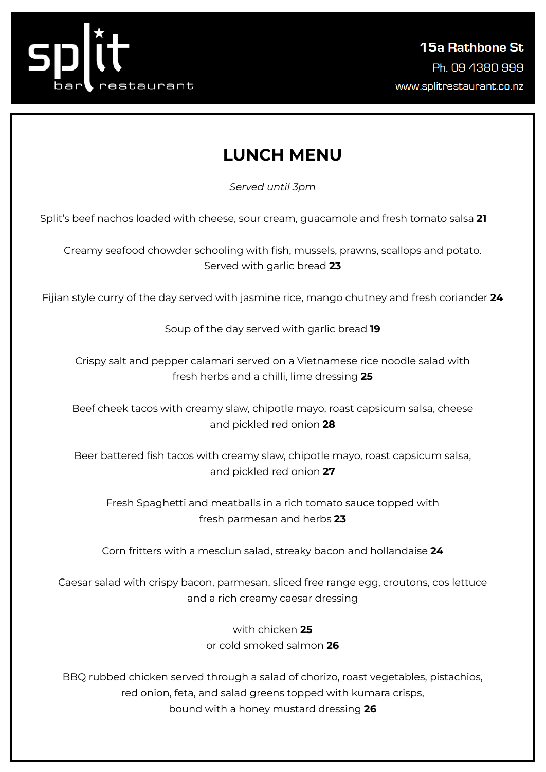

## **LUNCH MENU**

*Served until 3pm*

Split's beef nachos loaded with cheese, sour cream, guacamole and fresh tomato salsa **21**

Creamy seafood chowder schooling with fish, mussels, prawns, scallops and potato. Served with garlic bread **23**

Fijian style curry of the day served with jasmine rice, mango chutney and fresh coriander **24**

Soup of the day served with garlic bread **19**

Crispy salt and pepper calamari served on a Vietnamese rice noodle salad with fresh herbs and a chilli, lime dressing **25**

Beef cheek tacos with creamy slaw, chipotle mayo, roast capsicum salsa, cheese and pickled red onion **28**

Beer battered fish tacos with creamy slaw, chipotle mayo, roast capsicum salsa, and pickled red onion **27**

Fresh Spaghetti and meatballs in a rich tomato sauce topped with fresh parmesan and herbs **23**

Corn fritters with a mesclun salad, streaky bacon and hollandaise **24**

Caesar salad with crispy bacon, parmesan, sliced free range egg, croutons, cos lettuce and a rich creamy caesar dressing

> with chicken **25** or cold smoked salmon **26**

BBQ rubbed chicken served through a salad of chorizo, roast vegetables, pistachios, red onion, feta, and salad greens topped with kumara crisps, bound with a honey mustard dressing **26**